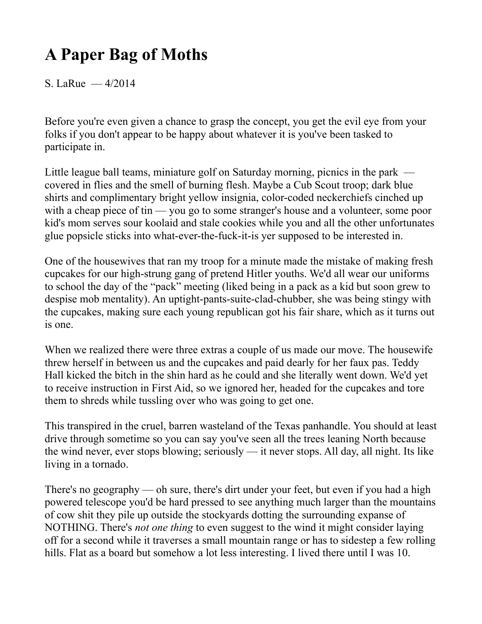# **A Paper Bag of Moths**

S. LaRue — 4/2014

Before you're even given a chance to grasp the concept, you get the evil eye from your folks if you don't appear to be happy about whatever it is you've been tasked to participate in.

Little league ball teams, miniature golf on Saturday morning, picnics in the park covered in flies and the smell of burning flesh. Maybe a Cub Scout troop; dark blue shirts and complimentary bright yellow insignia, color-coded neckerchiefs cinched up with a cheap piece of tin — you go to some stranger's house and a volunteer, some poor kid's mom serves sour koolaid and stale cookies while you and all the other unfortunates glue popsicle sticks into what-ever-the-fuck-it-is yer supposed to be interested in.

One of the housewives that ran my troop for a minute made the mistake of making fresh cupcakes for our high-strung gang of pretend Hitler youths. We'd all wear our uniforms to school the day of the "pack" meeting (liked being in a pack as a kid but soon grew to despise mob mentality). An uptight-pants-suite-clad-chubber, she was being stingy with the cupcakes, making sure each young republican got his fair share, which as it turns out is one.

When we realized there were three extras a couple of us made our move. The housewife threw herself in between us and the cupcakes and paid dearly for her faux pas. Teddy Hall kicked the bitch in the shin hard as he could and she literally went down. We'd yet to receive instruction in First Aid, so we ignored her, headed for the cupcakes and tore them to shreds while tussling over who was going to get one.

This transpired in the cruel, barren wasteland of the Texas panhandle. You should at least drive through sometime so you can say you've seen all the trees leaning North because the wind never, ever stops blowing; seriously — it never stops. All day, all night. Its like living in a tornado.

There's no geography — oh sure, there's dirt under your feet, but even if you had a high powered telescope you'd be hard pressed to see anything much larger than the mountains of cow shit they pile up outside the stockyards dotting the surrounding expanse of NOTHING. There's *not one thing* to even suggest to the wind it might consider laying off for a second while it traverses a small mountain range or has to sidestep a few rolling hills. Flat as a board but somehow a lot less interesting. I lived there until I was 10.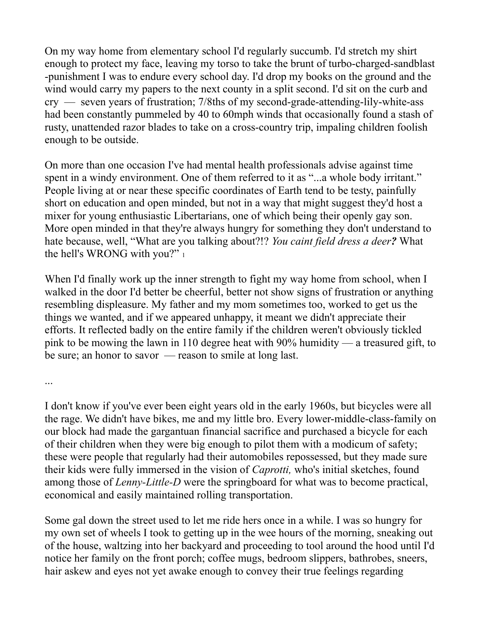On my way home from elementary school I'd regularly succumb. I'd stretch my shirt enough to protect my face, leaving my torso to take the brunt of turbo-charged-sandblast -punishment I was to endure every school day. I'd drop my books on the ground and the wind would carry my papers to the next county in a split second. I'd sit on the curb and cry — seven years of frustration; 7/8ths of my second-grade-attending-lily-white-ass had been constantly pummeled by 40 to 60mph winds that occasionally found a stash of rusty, unattended razor blades to take on a cross-country trip, impaling children foolish enough to be outside.

On more than one occasion I've had mental health professionals advise against time spent in a windy environment. One of them referred to it as "...a whole body irritant." People living at or near these specific coordinates of Earth tend to be testy, painfully short on education and open minded, but not in a way that might suggest they'd host a mixer for young enthusiastic Libertarians, one of which being their openly gay son. More open minded in that they're always hungry for something they don't understand to hate because, well, "What are you talking about?!? *You caint field dress a deer?* What the hell's WRONG with you?" 1

When I'd finally work up the inner strength to fight my way home from school, when I walked in the door I'd better be cheerful, better not show signs of frustration or anything resembling displeasure. My father and my mom sometimes too, worked to get us the things we wanted, and if we appeared unhappy, it meant we didn't appreciate their efforts. It reflected badly on the entire family if the children weren't obviously tickled pink to be mowing the lawn in 110 degree heat with 90% humidity — a treasured gift, to be sure; an honor to savor — reason to smile at long last.

...

I don't know if you've ever been eight years old in the early 1960s, but bicycles were all the rage. We didn't have bikes, me and my little bro. Every lower-middle-class-family on our block had made the gargantuan financial sacrifice and purchased a bicycle for each of their children when they were big enough to pilot them with a modicum of safety; these were people that regularly had their automobiles repossessed, but they made sure their kids were fully immersed in the vision of *Caprotti,* who's initial sketches, found among those of *Lenny-Little-D* were the springboard for what was to become practical, economical and easily maintained rolling transportation.

Some gal down the street used to let me ride hers once in a while. I was so hungry for my own set of wheels I took to getting up in the wee hours of the morning, sneaking out of the house, waltzing into her backyard and proceeding to tool around the hood until I'd notice her family on the front porch; coffee mugs, bedroom slippers, bathrobes, sneers, hair askew and eyes not yet awake enough to convey their true feelings regarding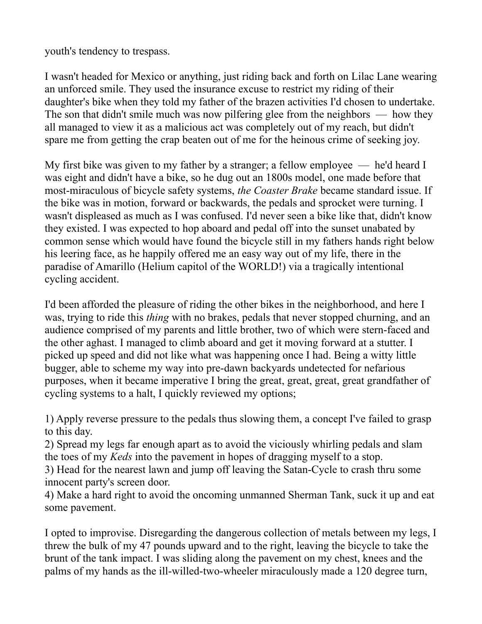youth's tendency to trespass.

I wasn't headed for Mexico or anything, just riding back and forth on Lilac Lane wearing an unforced smile. They used the insurance excuse to restrict my riding of their daughter's bike when they told my father of the brazen activities I'd chosen to undertake. The son that didn't smile much was now pilfering glee from the neighbors — how they all managed to view it as a malicious act was completely out of my reach, but didn't spare me from getting the crap beaten out of me for the heinous crime of seeking joy.

My first bike was given to my father by a stranger; a fellow employee — he'd heard I was eight and didn't have a bike, so he dug out an 1800s model, one made before that most-miraculous of bicycle safety systems, *the Coaster Brake* became standard issue. If the bike was in motion, forward or backwards, the pedals and sprocket were turning. I wasn't displeased as much as I was confused. I'd never seen a bike like that, didn't know they existed. I was expected to hop aboard and pedal off into the sunset unabated by common sense which would have found the bicycle still in my fathers hands right below his leering face, as he happily offered me an easy way out of my life, there in the paradise of Amarillo (Helium capitol of the WORLD!) via a tragically intentional cycling accident.

I'd been afforded the pleasure of riding the other bikes in the neighborhood, and here I was, trying to ride this *thing* with no brakes, pedals that never stopped churning, and an audience comprised of my parents and little brother, two of which were stern-faced and the other aghast. I managed to climb aboard and get it moving forward at a stutter. I picked up speed and did not like what was happening once I had. Being a witty little bugger, able to scheme my way into pre-dawn backyards undetected for nefarious purposes, when it became imperative I bring the great, great, great, great grandfather of cycling systems to a halt, I quickly reviewed my options;

1) Apply reverse pressure to the pedals thus slowing them, a concept I've failed to grasp to this day.

2) Spread my legs far enough apart as to avoid the viciously whirling pedals and slam the toes of my *Keds* into the pavement in hopes of dragging myself to a stop.

3) Head for the nearest lawn and jump off leaving the Satan-Cycle to crash thru some innocent party's screen door.

4) Make a hard right to avoid the oncoming unmanned Sherman Tank, suck it up and eat some pavement.

I opted to improvise. Disregarding the dangerous collection of metals between my legs, I threw the bulk of my 47 pounds upward and to the right, leaving the bicycle to take the brunt of the tank impact. I was sliding along the pavement on my chest, knees and the palms of my hands as the ill-willed-two-wheeler miraculously made a 120 degree turn,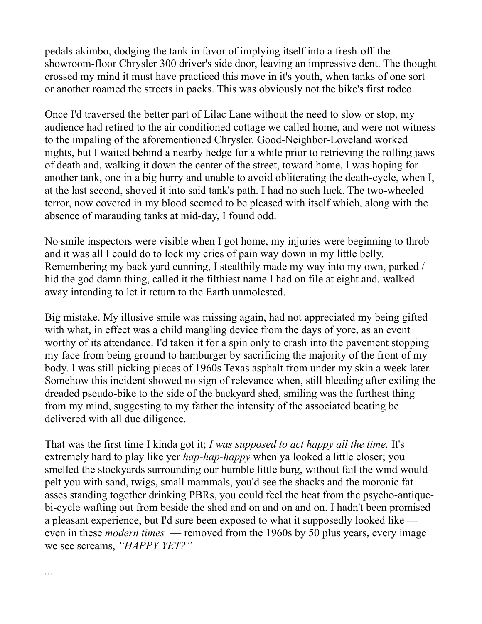pedals akimbo, dodging the tank in favor of implying itself into a fresh-off-theshowroom-floor Chrysler 300 driver's side door, leaving an impressive dent. The thought crossed my mind it must have practiced this move in it's youth, when tanks of one sort or another roamed the streets in packs. This was obviously not the bike's first rodeo.

Once I'd traversed the better part of Lilac Lane without the need to slow or stop, my audience had retired to the air conditioned cottage we called home, and were not witness to the impaling of the aforementioned Chrysler. Good-Neighbor-Loveland worked nights, but I waited behind a nearby hedge for a while prior to retrieving the rolling jaws of death and, walking it down the center of the street, toward home, I was hoping for another tank, one in a big hurry and unable to avoid obliterating the death-cycle, when I, at the last second, shoved it into said tank's path. I had no such luck. The two-wheeled terror, now covered in my blood seemed to be pleased with itself which, along with the absence of marauding tanks at mid-day, I found odd.

No smile inspectors were visible when I got home, my injuries were beginning to throb and it was all I could do to lock my cries of pain way down in my little belly. Remembering my back yard cunning, I stealthily made my way into my own, parked / hid the god damn thing, called it the filthiest name I had on file at eight and, walked away intending to let it return to the Earth unmolested.

Big mistake. My illusive smile was missing again, had not appreciated my being gifted with what, in effect was a child mangling device from the days of yore, as an event worthy of its attendance. I'd taken it for a spin only to crash into the pavement stopping my face from being ground to hamburger by sacrificing the majority of the front of my body. I was still picking pieces of 1960s Texas asphalt from under my skin a week later. Somehow this incident showed no sign of relevance when, still bleeding after exiling the dreaded pseudo-bike to the side of the backyard shed, smiling was the furthest thing from my mind, suggesting to my father the intensity of the associated beating be delivered with all due diligence.

That was the first time I kinda got it; *I was supposed to act happy all the time.* It's extremely hard to play like yer *hap-hap-happy* when ya looked a little closer; you smelled the stockyards surrounding our humble little burg, without fail the wind would pelt you with sand, twigs, small mammals, you'd see the shacks and the moronic fat asses standing together drinking PBRs, you could feel the heat from the psycho-antiquebi-cycle wafting out from beside the shed and on and on and on. I hadn't been promised a pleasant experience, but I'd sure been exposed to what it supposedly looked like even in these *modern times* — removed from the 1960s by 50 plus years, every image we see screams, *"HAPPY YET?"*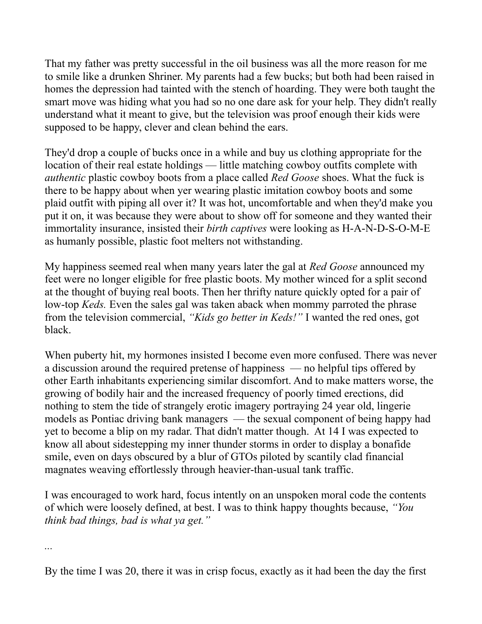That my father was pretty successful in the oil business was all the more reason for me to smile like a drunken Shriner. My parents had a few bucks; but both had been raised in homes the depression had tainted with the stench of hoarding. They were both taught the smart move was hiding what you had so no one dare ask for your help. They didn't really understand what it meant to give, but the television was proof enough their kids were supposed to be happy, clever and clean behind the ears.

They'd drop a couple of bucks once in a while and buy us clothing appropriate for the location of their real estate holdings — little matching cowboy outfits complete with *authentic* plastic cowboy boots from a place called *Red Goose* shoes. What the fuck is there to be happy about when yer wearing plastic imitation cowboy boots and some plaid outfit with piping all over it? It was hot, uncomfortable and when they'd make you put it on, it was because they were about to show off for someone and they wanted their immortality insurance, insisted their *birth captives* were looking as H-A-N-D-S-O-M-E as humanly possible, plastic foot melters not withstanding.

My happiness seemed real when many years later the gal at *Red Goose* announced my feet were no longer eligible for free plastic boots. My mother winced for a split second at the thought of buying real boots. Then her thrifty nature quickly opted for a pair of low-top *Keds.* Even the sales gal was taken aback when mommy parroted the phrase from the television commercial, *"Kids go better in Keds!"* I wanted the red ones, got black.

When puberty hit, my hormones insisted I become even more confused. There was never a discussion around the required pretense of happiness — no helpful tips offered by other Earth inhabitants experiencing similar discomfort. And to make matters worse, the growing of bodily hair and the increased frequency of poorly timed erections, did nothing to stem the tide of strangely erotic imagery portraying 24 year old, lingerie models as Pontiac driving bank managers — the sexual component of being happy had yet to become a blip on my radar. That didn't matter though. At 14 I was expected to know all about sidestepping my inner thunder storms in order to display a bonafide smile, even on days obscured by a blur of GTOs piloted by scantily clad financial magnates weaving effortlessly through heavier-than-usual tank traffic.

I was encouraged to work hard, focus intently on an unspoken moral code the contents of which were loosely defined, at best. I was to think happy thoughts because, *"You think bad things, bad is what ya get."*

*...*

By the time I was 20, there it was in crisp focus, exactly as it had been the day the first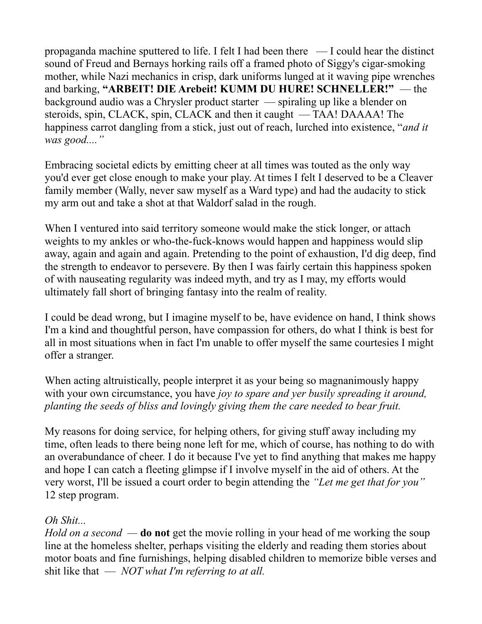propaganda machine sputtered to life. I felt I had been there — I could hear the distinct sound of Freud and Bernays horking rails off a framed photo of Siggy's cigar-smoking mother, while Nazi mechanics in crisp, dark uniforms lunged at it waving pipe wrenches and barking, **"ARBEIT! DIE Arebeit! KUMM DU HURE! SCHNELLER!"** — the background audio was a Chrysler product starter — spiraling up like a blender on steroids, spin, CLACK, spin, CLACK and then it caught — TAA! DAAAA! The happiness carrot dangling from a stick, just out of reach, lurched into existence, "*and it was good...."* 

Embracing societal edicts by emitting cheer at all times was touted as the only way you'd ever get close enough to make your play. At times I felt I deserved to be a Cleaver family member (Wally, never saw myself as a Ward type) and had the audacity to stick my arm out and take a shot at that Waldorf salad in the rough.

When I ventured into said territory someone would make the stick longer, or attach weights to my ankles or who-the-fuck-knows would happen and happiness would slip away, again and again and again. Pretending to the point of exhaustion, I'd dig deep, find the strength to endeavor to persevere. By then I was fairly certain this happiness spoken of with nauseating regularity was indeed myth, and try as I may, my efforts would ultimately fall short of bringing fantasy into the realm of reality.

I could be dead wrong, but I imagine myself to be, have evidence on hand, I think shows I'm a kind and thoughtful person, have compassion for others, do what I think is best for all in most situations when in fact I'm unable to offer myself the same courtesies I might offer a stranger.

When acting altruistically, people interpret it as your being so magnanimously happy with your own circumstance, you have *joy to spare and yer busily spreading it around, planting the seeds of bliss and lovingly giving them the care needed to bear fruit.* 

My reasons for doing service, for helping others, for giving stuff away including my time, often leads to there being none left for me, which of course, has nothing to do with an overabundance of cheer. I do it because I've yet to find anything that makes me happy and hope I can catch a fleeting glimpse if I involve myself in the aid of others. At the very worst, I'll be issued a court order to begin attending the *"Let me get that for you"*  12 step program.

## *Oh Shit...*

*Hold on a second —* **do not** get the movie rolling in your head of me working the soup line at the homeless shelter, perhaps visiting the elderly and reading them stories about motor boats and fine furnishings, helping disabled children to memorize bible verses and shit like that — *NOT what I'm referring to at all.*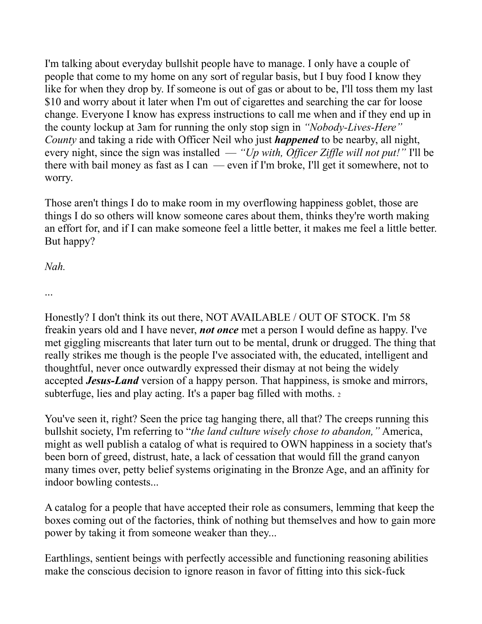I'm talking about everyday bullshit people have to manage. I only have a couple of people that come to my home on any sort of regular basis, but I buy food I know they like for when they drop by. If someone is out of gas or about to be, I'll toss them my last \$10 and worry about it later when I'm out of cigarettes and searching the car for loose change. Everyone I know has express instructions to call me when and if they end up in the county lockup at 3am for running the only stop sign in *"Nobody-Lives-Here" County* and taking a ride with Officer Neil who just *happened* to be nearby, all night, every night, since the sign was installed — *"Up with, Officer Ziffle will not put!"* I'll be there with bail money as fast as I can — even if I'm broke, I'll get it somewhere, not to worry.

Those aren't things I do to make room in my overflowing happiness goblet, those are things I do so others will know someone cares about them, thinks they're worth making an effort for, and if I can make someone feel a little better, it makes me feel a little better. But happy?

*Nah.*

...

Honestly? I don't think its out there, NOT AVAILABLE / OUT OF STOCK. I'm 58 freakin years old and I have never, *not once* met a person I would define as happy. I've met giggling miscreants that later turn out to be mental, drunk or drugged. The thing that really strikes me though is the people I've associated with, the educated, intelligent and thoughtful, never once outwardly expressed their dismay at not being the widely accepted *Jesus-Land* version of a happy person. That happiness, is smoke and mirrors, subterfuge, lies and play acting. It's a paper bag filled with moths. <sup>2</sup>

You've seen it, right? Seen the price tag hanging there, all that? The creeps running this bullshit society, I'm referring to "*the land culture wisely chose to abandon,"* America, might as well publish a catalog of what is required to OWN happiness in a society that's been born of greed, distrust, hate, a lack of cessation that would fill the grand canyon many times over, petty belief systems originating in the Bronze Age, and an affinity for indoor bowling contests...

A catalog for a people that have accepted their role as consumers, lemming that keep the boxes coming out of the factories, think of nothing but themselves and how to gain more power by taking it from someone weaker than they...

Earthlings, sentient beings with perfectly accessible and functioning reasoning abilities make the conscious decision to ignore reason in favor of fitting into this sick-fuck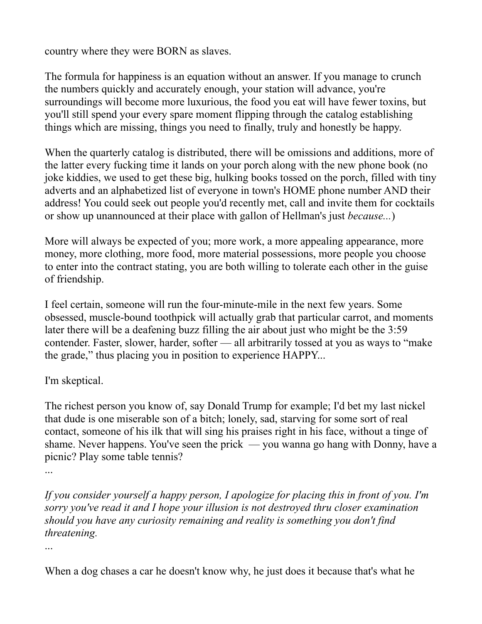country where they were BORN as slaves.

The formula for happiness is an equation without an answer. If you manage to crunch the numbers quickly and accurately enough, your station will advance, you're surroundings will become more luxurious, the food you eat will have fewer toxins, but you'll still spend your every spare moment flipping through the catalog establishing things which are missing, things you need to finally, truly and honestly be happy.

When the quarterly catalog is distributed, there will be omissions and additions, more of the latter every fucking time it lands on your porch along with the new phone book (no joke kiddies, we used to get these big, hulking books tossed on the porch, filled with tiny adverts and an alphabetized list of everyone in town's HOME phone number AND their address! You could seek out people you'd recently met, call and invite them for cocktails or show up unannounced at their place with gallon of Hellman's just *because...*)

More will always be expected of you; more work, a more appealing appearance, more money, more clothing, more food, more material possessions, more people you choose to enter into the contract stating, you are both willing to tolerate each other in the guise of friendship.

I feel certain, someone will run the four-minute-mile in the next few years. Some obsessed, muscle-bound toothpick will actually grab that particular carrot, and moments later there will be a deafening buzz filling the air about just who might be the 3:59 contender. Faster, slower, harder, softer — all arbitrarily tossed at you as ways to "make the grade," thus placing you in position to experience HAPPY...

## I'm skeptical.

The richest person you know of, say Donald Trump for example; I'd bet my last nickel that dude is one miserable son of a bitch; lonely, sad, starving for some sort of real contact, someone of his ilk that will sing his praises right in his face, without a tinge of shame. Never happens. You've seen the prick — you wanna go hang with Donny, have a picnic? Play some table tennis?

...

*If you consider yourself a happy person, I apologize for placing this in front of you. I'm sorry you've read it and I hope your illusion is not destroyed thru closer examination should you have any curiosity remaining and reality is something you don't find threatening.*

...

When a dog chases a car he doesn't know why, he just does it because that's what he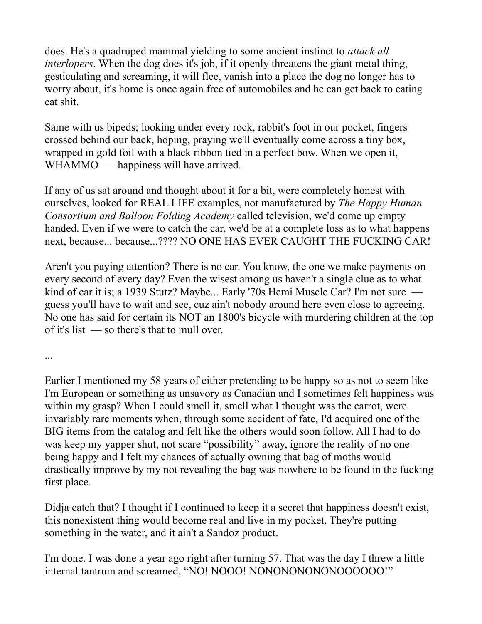does. He's a quadruped mammal yielding to some ancient instinct to *attack all interlopers*. When the dog does it's job, if it openly threatens the giant metal thing, gesticulating and screaming, it will flee, vanish into a place the dog no longer has to worry about, it's home is once again free of automobiles and he can get back to eating cat shit.

Same with us bipeds; looking under every rock, rabbit's foot in our pocket, fingers crossed behind our back, hoping, praying we'll eventually come across a tiny box, wrapped in gold foil with a black ribbon tied in a perfect bow. When we open it, WHAMMO — happiness will have arrived.

If any of us sat around and thought about it for a bit, were completely honest with ourselves, looked for REAL LIFE examples, not manufactured by *The Happy Human Consortium and Balloon Folding Academy* called television, we'd come up empty handed. Even if we were to catch the car, we'd be at a complete loss as to what happens next, because... because...???? NO ONE HAS EVER CAUGHT THE FUCKING CAR!

Aren't you paying attention? There is no car. You know, the one we make payments on every second of every day? Even the wisest among us haven't a single clue as to what kind of car it is; a 1939 Stutz? Maybe... Early '70s Hemi Muscle Car? I'm not sure guess you'll have to wait and see, cuz ain't nobody around here even close to agreeing. No one has said for certain its NOT an 1800's bicycle with murdering children at the top of it's list — so there's that to mull over.

...

Earlier I mentioned my 58 years of either pretending to be happy so as not to seem like I'm European or something as unsavory as Canadian and I sometimes felt happiness was within my grasp? When I could smell it, smell what I thought was the carrot, were invariably rare moments when, through some accident of fate, I'd acquired one of the BIG items from the catalog and felt like the others would soon follow. All I had to do was keep my yapper shut, not scare "possibility" away, ignore the reality of no one being happy and I felt my chances of actually owning that bag of moths would drastically improve by my not revealing the bag was nowhere to be found in the fucking first place.

Didja catch that? I thought if I continued to keep it a secret that happiness doesn't exist, this nonexistent thing would become real and live in my pocket. They're putting something in the water, and it ain't a Sandoz product.

I'm done. I was done a year ago right after turning 57. That was the day I threw a little internal tantrum and screamed, "NO! NOOO! NONONONONONOOOOOO!"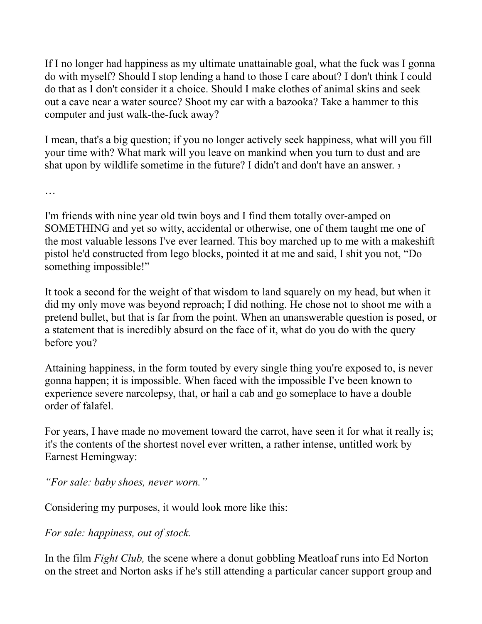If I no longer had happiness as my ultimate unattainable goal, what the fuck was I gonna do with myself? Should I stop lending a hand to those I care about? I don't think I could do that as I don't consider it a choice. Should I make clothes of animal skins and seek out a cave near a water source? Shoot my car with a bazooka? Take a hammer to this computer and just walk-the-fuck away?

I mean, that's a big question; if you no longer actively seek happiness, what will you fill your time with? What mark will you leave on mankind when you turn to dust and are shat upon by wildlife sometime in the future? I didn't and don't have an answer. <sup>3</sup>

…

I'm friends with nine year old twin boys and I find them totally over-amped on SOMETHING and yet so witty, accidental or otherwise, one of them taught me one of the most valuable lessons I've ever learned. This boy marched up to me with a makeshift pistol he'd constructed from lego blocks, pointed it at me and said, I shit you not, "Do something impossible!"

It took a second for the weight of that wisdom to land squarely on my head, but when it did my only move was beyond reproach; I did nothing. He chose not to shoot me with a pretend bullet, but that is far from the point. When an unanswerable question is posed, or a statement that is incredibly absurd on the face of it, what do you do with the query before you?

Attaining happiness, in the form touted by every single thing you're exposed to, is never gonna happen; it is impossible. When faced with the impossible I've been known to experience severe narcolepsy, that, or hail a cab and go someplace to have a double order of falafel.

For years, I have made no movement toward the carrot, have seen it for what it really is; it's the contents of the shortest novel ever written, a rather intense, untitled work by Earnest Hemingway:

*"For sale: baby shoes, never worn."*

Considering my purposes, it would look more like this:

*For sale: happiness, out of stock.*

In the film *Fight Club,* the scene where a donut gobbling Meatloaf runs into Ed Norton on the street and Norton asks if he's still attending a particular cancer support group and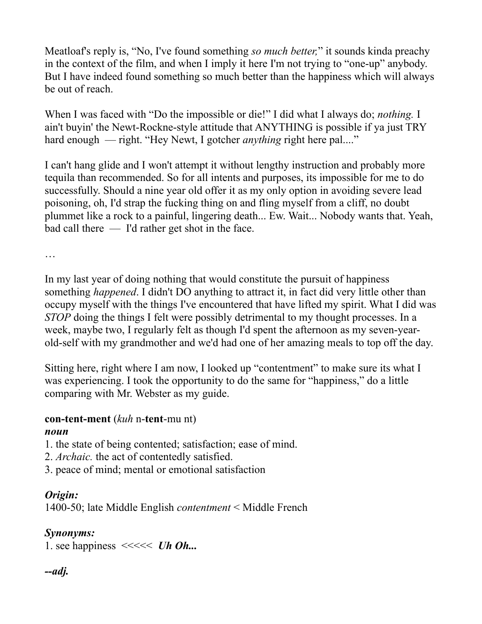Meatloaf's reply is, "No, I've found something *so much better,*" it sounds kinda preachy in the context of the film, and when I imply it here I'm not trying to "one-up" anybody. But I have indeed found something so much better than the happiness which will always be out of reach.

When I was faced with "Do the impossible or die!" I did what I always do; *nothing.* I ain't buyin' the Newt-Rockne-style attitude that ANYTHING is possible if ya just TRY hard enough — right. "Hey Newt, I gotcher *anything* right here pal...."

I can't hang glide and I won't attempt it without lengthy instruction and probably more tequila than recommended. So for all intents and purposes, its impossible for me to do successfully. Should a nine year old offer it as my only option in avoiding severe lead poisoning, oh, I'd strap the fucking thing on and fling myself from a cliff, no doubt plummet like a rock to a painful, lingering death... Ew. Wait... Nobody wants that. Yeah, bad call there — I'd rather get shot in the face.

…

In my last year of doing nothing that would constitute the pursuit of happiness something *happened*. I didn't DO anything to attract it, in fact did very little other than occupy myself with the things I've encountered that have lifted my spirit. What I did was *STOP* doing the things I felt were possibly detrimental to my thought processes. In a week, maybe two, I regularly felt as though I'd spent the afternoon as my seven-yearold-self with my grandmother and we'd had one of her amazing meals to top off the day.

Sitting here, right where I am now, I looked up "contentment" to make sure its what I was experiencing. I took the opportunity to do the same for "happiness," do a little comparing with Mr. Webster as my guide.

## **con-tent-ment** (*kuh* n-**tent**-mu nt)

#### *noun*

- 1. the state of being contented; satisfaction; ease of mind.
- 2. *Archaic.* the act of contentedly satisfied.
- 3. peace of mind; mental or emotional satisfaction

## *Origin:*

1400-50; late Middle English *contentment* < Middle French

## *Synonyms:*

1. see happiness <<<<< *Uh Oh...*

## *--adj.*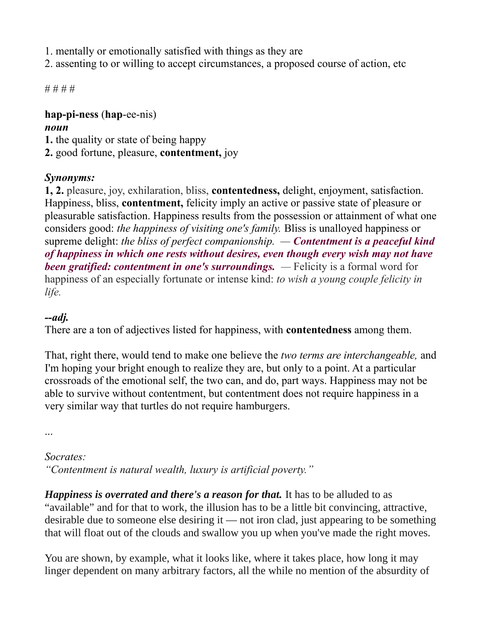- 1. mentally or emotionally satisfied with things as they are
- 2. assenting to or willing to accept circumstances, a proposed course of action, etc

# # # #

#### **hap-pi-ness** (**hap**-ee-nis) *noun*

**1.** the quality or state of being happy

**2.** good fortune, pleasure, **contentment,** joy

## *Synonyms:*

**1, 2.** pleasure, joy, exhilaration, bliss, **contentedness,** delight, enjoyment, satisfaction. Happiness, bliss, **contentment,** felicity imply an active or passive state of pleasure or pleasurable satisfaction. Happiness results from the possession or attainment of what one considers good: *the happiness of visiting one's family.* Bliss is unalloyed happiness or supreme delight: *the bliss of perfect companionship. — Contentment is a peaceful kind of happiness in which one rests without desires, even though every wish may not have been gratified: contentment in one's surroundings.* — Felicity is a formal word for happiness of an especially fortunate or intense kind: *to wish a young couple felicity in life.*

## *--adj.*

There are a ton of adjectives listed for happiness, with **contentedness** among them.

That, right there, would tend to make one believe the *two terms are interchangeable,* and I'm hoping your bright enough to realize they are, but only to a point. At a particular crossroads of the emotional self, the two can, and do, part ways. Happiness may not be able to survive without contentment, but contentment does not require happiness in a very similar way that turtles do not require hamburgers.

...

## *Socrates:*

*"Contentment is natural wealth, luxury is artificial poverty."* 

*Happiness is overrated and there's a reason for that.* It has to be alluded to as "available" and for that to work, the illusion has to be a little bit convincing, attractive, desirable due to someone else desiring it — not iron clad, just appearing to be something that will float out of the clouds and swallow you up when you've made the right moves.

You are shown, by example, what it looks like, where it takes place, how long it may linger dependent on many arbitrary factors, all the while no mention of the absurdity of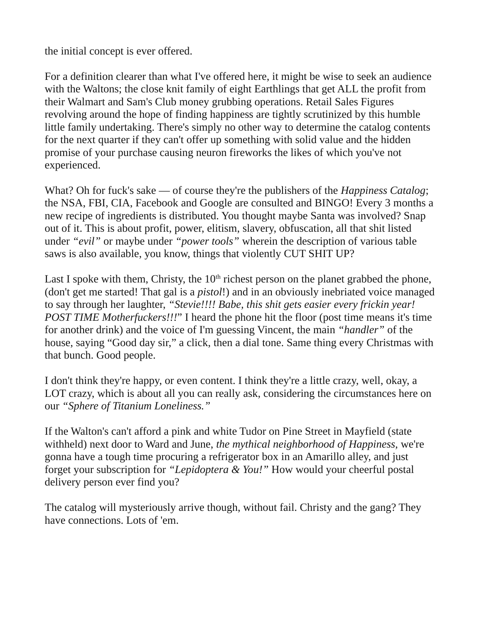the initial concept is ever offered.

For a definition clearer than what I've offered here, it might be wise to seek an audience with the Waltons; the close knit family of eight Earthlings that get ALL the profit from their Walmart and Sam's Club money grubbing operations. Retail Sales Figures revolving around the hope of finding happiness are tightly scrutinized by this humble little family undertaking. There's simply no other way to determine the catalog contents for the next quarter if they can't offer up something with solid value and the hidden promise of your purchase causing neuron fireworks the likes of which you've not experienced.

What? Oh for fuck's sake — of course they're the publishers of the *Happiness Catalog*; the NSA, FBI, CIA, Facebook and Google are consulted and BINGO! Every 3 months a new recipe of ingredients is distributed. You thought maybe Santa was involved? Snap out of it. This is about profit, power, elitism, slavery, obfuscation, all that shit listed under *"evil"* or maybe under *"power tools"* wherein the description of various table saws is also available, you know, things that violently CUT SHIT UP?

Last I spoke with them, Christy, the  $10<sup>th</sup>$  richest person on the planet grabbed the phone, (don't get me started! That gal is a *pistol*!) and in an obviously inebriated voice managed to say through her laughter, *"Stevie!!!! Babe, this shit gets easier every frickin year! POST TIME Motherfuckers!!!*" I heard the phone hit the floor (post time means it's time for another drink) and the voice of I'm guessing Vincent, the main *"handler"* of the house, saying "Good day sir," a click, then a dial tone. Same thing every Christmas with that bunch. Good people.

I don't think they're happy, or even content. I think they're a little crazy, well, okay, a LOT crazy, which is about all you can really ask, considering the circumstances here on our *"Sphere of Titanium Loneliness."*

If the Walton's can't afford a pink and white Tudor on Pine Street in Mayfield (state withheld) next door to Ward and June, *the mythical neighborhood of Happiness,* we're gonna have a tough time procuring a refrigerator box in an Amarillo alley, and just forget your subscription for *"Lepidoptera & You!"* How would your cheerful postal delivery person ever find you?

The catalog will mysteriously arrive though, without fail. Christy and the gang? They have connections. Lots of 'em.